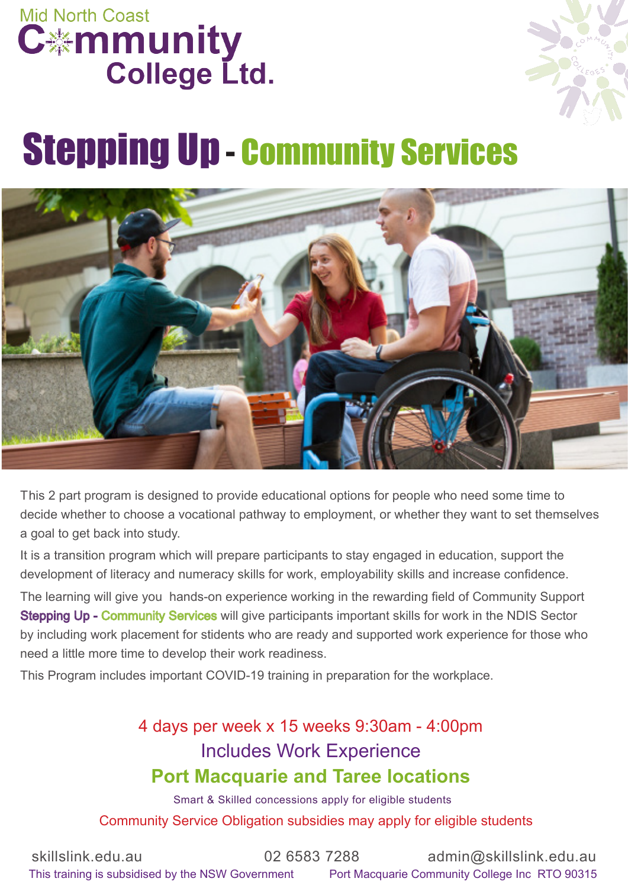



# Stepping Up - Community Services



This 2 part program is designed to provide educational options for people who need some time to decide whether to choose a vocational pathway to employment, or whether they want to set themselves a goal to get back into study.

It is a transition program which will prepare participants to stay engaged in education, support the development of literacy and numeracy skills for work, employability skills and increase confidence.

The learning will give you hands-on experience working in the rewarding field of Community Support Stepping Up - Community Services will give participants important skills for work in the NDIS Sector by including work placement for stidents who are ready and supported work experience for those who need a little more time to develop their work readiness.

This Program includes important COVID-19 training in preparation for the workplace.

### 4 days per week x 15 weeks 9:30am - 4:00pm Includes Work Experience **Port Macquarie and Taree locations**

Smart & Skilled concessions apply for eligible students Community Service Obligation subsidies may apply for eligible students

skillslink.edu.au 02 6583 7288 admin@skillslink.edu.au This training is subsidised by the NSW Government Port Macquarie Community College Inc RTO 90315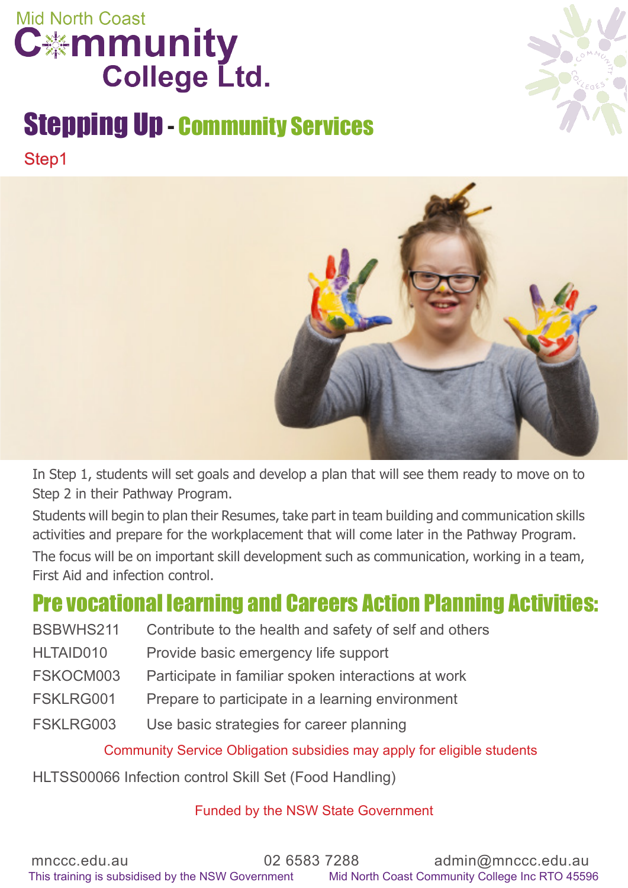

### Stepping Up - Community Services Step1





In Step 1, students will set goals and develop a plan that will see them ready to move on to Step 2 in their Pathway Program.

Students will begin to plan their Resumes, take part in team building and communication skills activities and prepare for the workplacement that will come later in the Pathway Program. The focus will be on important skill development such as communication, working in a team, First Aid and infection control.

### Pre vocational learning and Careers Action Planning Activities:

| BSBWHS211 | Contribute to the health and safety of self and others |
|-----------|--------------------------------------------------------|
| HLTAID010 | Provide basic emergency life support                   |
| FSKOCM003 | Participate in familiar spoken interactions at work    |
| FSKLRG001 | Prepare to participate in a learning environment       |
| FSKLRG003 | Use basic strategies for career planning               |

Community Service Obligation subsidies may apply for eligible students

HLTSS00066 Infection control Skill Set (Food Handling)

#### Funded by the NSW State Government